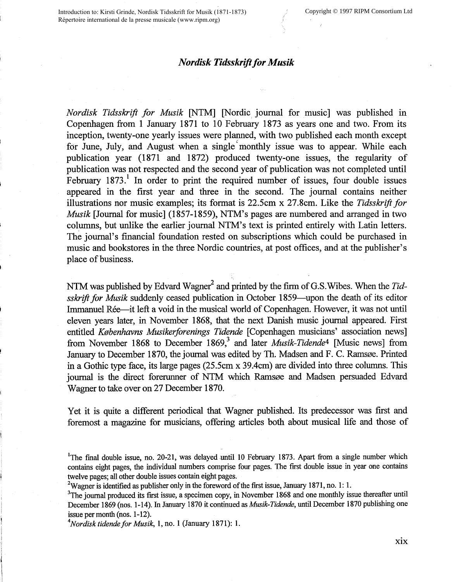## *Nordisk Tidsskrift for Musik*

*Nordisk Tidsskrift for Musik* [NTM] [Nordic journal for music] was published in Copenhagen from **1** January 1871 to 10 February 1873 as years one and two. From its inception, twenty-one yearly issues were planned, with two published each month except for June, July, and August when a single' monthly issue was to appear. While each publication year (1871 and 1872) produced twenty-one issues, the regularity of publication was not respected and the second year of publication was not completed until February  $1873<sup>1</sup>$  In order to print the required number of issues, four double issues appeared in the first year and three in the second. The journal contains neither illustrations nor music examples; its format is 22.5cm x 27.8cm. Like the *Tidsskrift for Musik* [Journal for music] (1857-1859), NTM's pages are numbered and arranged in two columns, but unlike the earlier journal NTM's text is printed entirely with Latin letters. The journal's financial foundation rested on subscriptions which could be purchased in music and bookstores in the three Nordic countries, at post offices, and at the publisher's place of business.

NTM was published by Edvard Wagner<sup>2</sup> and printed by the firm of G.S. Wibes. When the *Tidsskrift for Musik* suddenly ceased publication in October 1859-upon the death of its editor Immanuel Rée—it left a void in the musical world of Copenhagen. However, it was not until eleven years later, in November 1868, that the next Danish music journal appeared. First entitled *Knbenhavns Musikerforenings Tidende* [Copenhagen musicians' association news] from November 1868 to December 1869,<sup>3</sup> and later *Musik-Tidende*<sup>4</sup> [Music news] from January to December 1870, the journal was edited by Th. Madsen and F. C. Ramsøe. Printed in a Gothic type face, its large pages (25.5cm x 39.4cm) are divided into three columns. This journal is the direct forerunner of NTM which Ramsøe and Madsen persuaded Edvard Wagner to take over on 27 December 1870.

Yet it is quite a different periodical that Wagner published. Its predecessor was first and foremost a magazine for musicians, offering articles both about musical life and those of

4 *Nordisk tidendefor Musik,* 1, no. 1 (January 1871): 1.

<sup>&</sup>lt;sup>1</sup>The final double issue, no. 20-21, was delayed until 10 February 1873. Apart from a single number which contains eight pages, the individual numbers comprise four pages. The first double issue in year one contains twelve pages; all other double issues contain eight pages.

<sup>&</sup>lt;sup>2</sup>Wagner is identified as publisher only in the foreword of the first issue, January 1871, no. 1: 1.

<sup>&</sup>lt;sup>3</sup>The journal produced its first issue, a specimen copy, in November 1868 and one monthly issue thereafter until December 1869 (nos. 1-14). In January 1870 it continued as *Musik-Tidende,* until December 1870 publishing one issue per month (nos. 1-12).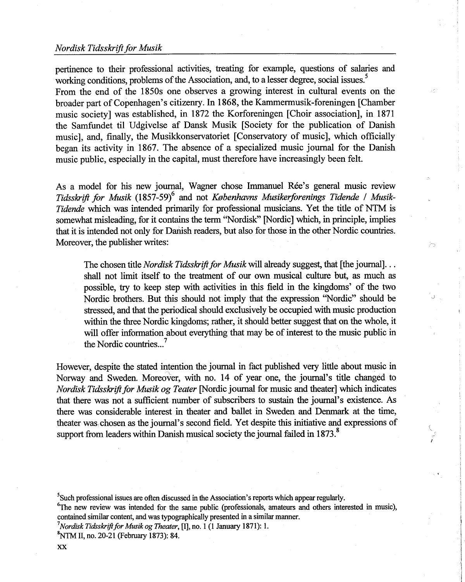## *Nordisk Tidsskrift for Musik*

pertinence to their professional activities, treating for example, questions of salaries and working conditions, problems of the Association, and, to a lesser degree, social issues.<sup>5</sup> From the end of the 1850s one observes a growing interest in cultural events on the broader part of Copenhagen's citizenry. In 1868, the Kammermusik-foreningen [Chamber music society] was established, in 1872 the Korforeningen [Choir association], in 1871 the Samfundet til Udgivelse af Dansk Musik [Society for the publication of Danish music], and, finally, the Musikkonservatoriet [Conservatory of music], which officially began its activity in 1867. The absence of a specialized music journal for the Danish music public, especially in the capital, must therefore have increasingly been felt.

As a model for his new journal, Wagner chose Immanuel Ree's general music review Tidsskrift for Musik (1857-59)<sup>6</sup> and not *Københavns Musikerforenings Tidende / Musik-Tidende* which was intended primarily for professional musicians. Yet the title of NTM is somewhat misleading, for it contains the term ''Nordisk" [Nordic] which, in principle, implies that it is intended not only for Danish readers, but also for those in the other Nordic countries. Moreover, the publisher writes:

The chosen title *Nordisk Tidsskrift for Musik* will already suggest, that [the journal] ... shall not limit itself to the treatment of our own musical culture but, as much as possible, try to keep step with activities in this field in the kingdoms' of the two Nordic brothers. But this should not imply that the expression ''Nordic" should be stressed, and that the periodical should exclusively be occupied with music production within the three Nordic kingdoms; rather, it should better suggest that on the whole, it will offer information about everything that may be of interest to the music public in the Nordic countries...<sup>7</sup>

Źэ

However, despite the stated intention the journal in fact published very little about music in Norway and Sweden. Moreover, with no. 14 of year one, the journal's title changed to *Nordisk Tidsskrift for Musik og Teater* [Nordic journal for music and theater] which indicates that there was not a sufficient number of subscribers to sustain the journal's existence. As there was considerable interest in theater and ballet in Sweden and Denmark at the time, theater was, chosen as the journal's second field. Yet despite this initiative and expressions of support from leaders within Danish musical society the journal failed in 1873.<sup>8</sup>

<sup>&</sup>lt;sup>5</sup>Such professional issues are often discussed in the Association's reports which appear regularly.

<sup>&</sup>lt;sup>6</sup>The new review was intended for the same public (professionals, amateurs and others interested in music), contained similar content, and was typographically presented in a similar manner.

<sup>&</sup>lt;sup>7</sup> Nordisk Tidsskrift for Musik og Theater, [I], no. 1 (1 January 1871): 1.

 ${}^{8}$ NTM II, no. 20-21 (February 1873): 84.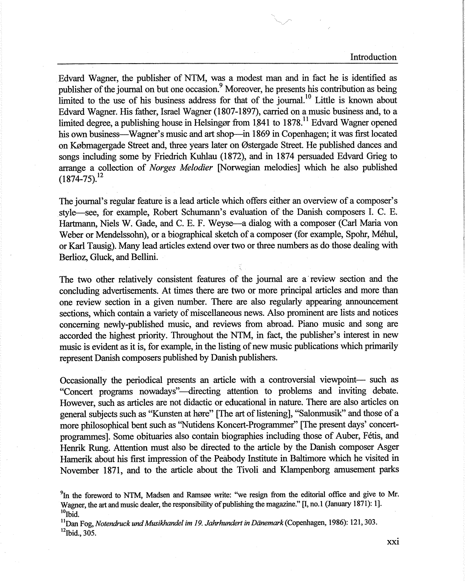Introduction

Edvard Wagner, the publisher of NTM, was a modest man and in fact he is identified as publisher of the journal on but one occasion.<sup>9</sup> Moreover, he presents his contribution as being limited to the use of his business address for that of the journal.<sup>10</sup> Little is known about Edvard Wagner. His father, Israel Wagner (1807-1897), carried on a music business and, to a limited degree, a publishing house in Helsing or from  $1841$  to  $1878$ <sup>11</sup> Edvard Wagner opened his own business—Wagner's music and art shop—in 1869 in Copenhagen; it was first located on Købmagergade Street and, three years later on Østergade Street. He published dances and songs including some by Friedrich Kuhlau (1872), and in 1874 persuaded Edvard Grieg to arrange a collection of *Norges Melodier* [Norwegian melodies] which he also published  $(1874 - 75)^{12}$ 

The journal's regular feature is a lead article which offers either an overview of a composer's style--see, for example, Robert Schumann's evaluation of the Danish composers I. C. E. Hartmann, Niels W. Gade, and C. E. F. Weyse-a dialog with a composer (Carl Maria von Weber or Mendelssohn), or a biographical sketch of a composer (for example, Spohr, Mehul, or Karl Tausig). Many lead articles extend over two or three numbers as do those dealing with Berlioz, Gluck, and Bellini.

The two other relatively consistent features of the journal are a· review section and the concluding advertisements. At times there are two or more principal articles and more than one review section in a given number. There are also regularly appearing announcement sections, which contain a variety of miscellaneous news. Also prominent are lists and notices concerning newly-published music, and reviews from abroad. Piano music and song are accorded the highest priority. Throughout the NTM, in fact, the publisher's interest in new music is evident as it is, for example, in the listing of new music publications which primarily represent Danish composers published by Danish publishers.

Occasionally the periodical presents an article with a controversial viewpoint- such as "Concert programs nowadays"-directing attention to problems and inviting debate. However, such as articles are not didactic or educational in nature. There are also articles on general subjects such as "Kunsten at høre" [The art of listening], "Salonmusik" and those of a more philosophical bent such as ''Nutidens Koncert-Prograrnmer" [The present days' concertprograrnmes]. Some obituaries also contain biographies including those of Auber, Fetis, and Henrik Rung. Attention must also be directed to the article by the Danish composer Asger Hamerik about his first impression of the Peabody Institute in Baltimore which he visited in November 1871, and to the article about the Tivoli and Klampenborg amusement parks

 $^{9}$ In the foreword to NTM, Madsen and Ramsøe write: "we resign from the editorial office and give to Mr. Wagner, the art and music dealer, the responsibility of publishing the magazine." [I, no. 1 (January 1871): 1].  $10$ <sub>10</sub><sub>10</sub>

<sup>11</sup>Dan Fog, *Notendruck und Musikhandel im 19. Jahrhundert in Danemark* (Copenhagen, 1986): 121, 303.

 $12$ Ibid., 305.